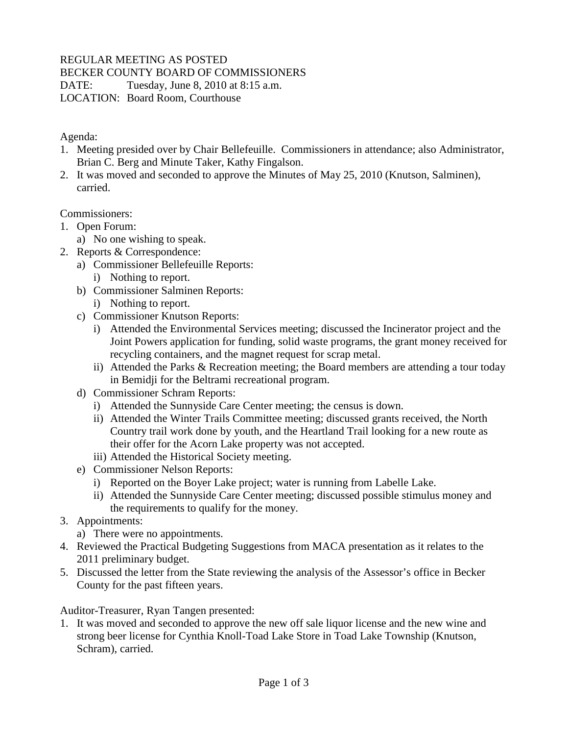## REGULAR MEETING AS POSTED

BECKER COUNTY BOARD OF COMMISSIONERS

DATE: Tuesday, June 8, 2010 at 8:15 a.m.

LOCATION: Board Room, Courthouse

Agenda:

- 1. Meeting presided over by Chair Bellefeuille. Commissioners in attendance; also Administrator, Brian C. Berg and Minute Taker, Kathy Fingalson.
- 2. It was moved and seconded to approve the Minutes of May 25, 2010 (Knutson, Salminen), carried.

Commissioners:

- 1. Open Forum:
	- a) No one wishing to speak.
- 2. Reports & Correspondence:
	- a) Commissioner Bellefeuille Reports: i) Nothing to report.
	- b) Commissioner Salminen Reports:

i) Nothing to report.

- c) Commissioner Knutson Reports:
	- i) Attended the Environmental Services meeting; discussed the Incinerator project and the Joint Powers application for funding, solid waste programs, the grant money received for recycling containers, and the magnet request for scrap metal.
	- ii) Attended the Parks & Recreation meeting; the Board members are attending a tour today in Bemidji for the Beltrami recreational program.
- d) Commissioner Schram Reports:
	- i) Attended the Sunnyside Care Center meeting; the census is down.
	- ii) Attended the Winter Trails Committee meeting; discussed grants received, the North Country trail work done by youth, and the Heartland Trail looking for a new route as their offer for the Acorn Lake property was not accepted.
	- iii) Attended the Historical Society meeting.
- e) Commissioner Nelson Reports:
	- i) Reported on the Boyer Lake project; water is running from Labelle Lake.
	- ii) Attended the Sunnyside Care Center meeting; discussed possible stimulus money and the requirements to qualify for the money.
- 3. Appointments:
	- a) There were no appointments.
- 4. Reviewed the Practical Budgeting Suggestions from MACA presentation as it relates to the 2011 preliminary budget.
- 5. Discussed the letter from the State reviewing the analysis of the Assessor's office in Becker County for the past fifteen years.

Auditor-Treasurer, Ryan Tangen presented:

1. It was moved and seconded to approve the new off sale liquor license and the new wine and strong beer license for Cynthia Knoll-Toad Lake Store in Toad Lake Township (Knutson, Schram), carried.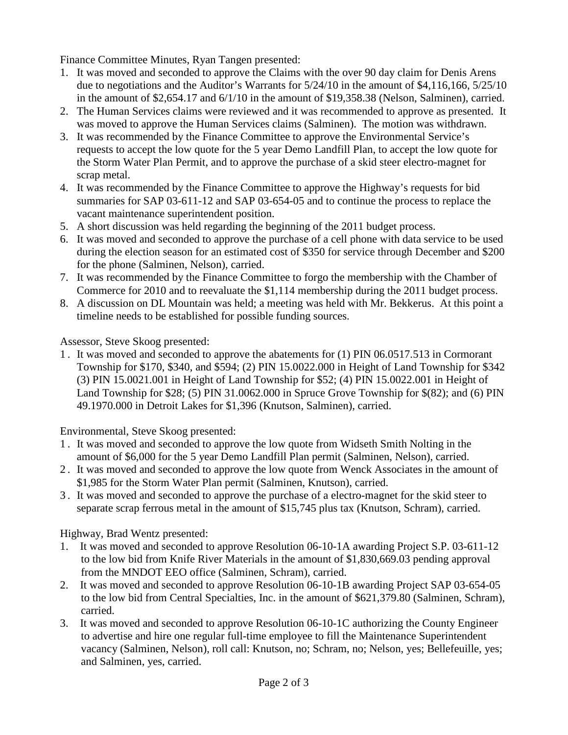Finance Committee Minutes, Ryan Tangen presented:

- 1. It was moved and seconded to approve the Claims with the over 90 day claim for Denis Arens due to negotiations and the Auditor's Warrants for 5/24/10 in the amount of \$4,116,166, 5/25/10 in the amount of \$2,654.17 and 6/1/10 in the amount of \$19,358.38 (Nelson, Salminen), carried.
- 2. The Human Services claims were reviewed and it was recommended to approve as presented. It was moved to approve the Human Services claims (Salminen). The motion was withdrawn.
- 3. It was recommended by the Finance Committee to approve the Environmental Service's requests to accept the low quote for the 5 year Demo Landfill Plan, to accept the low quote for the Storm Water Plan Permit, and to approve the purchase of a skid steer electro-magnet for scrap metal.
- 4. It was recommended by the Finance Committee to approve the Highway's requests for bid summaries for SAP 03-611-12 and SAP 03-654-05 and to continue the process to replace the vacant maintenance superintendent position.
- 5. A short discussion was held regarding the beginning of the 2011 budget process.
- 6. It was moved and seconded to approve the purchase of a cell phone with data service to be used during the election season for an estimated cost of \$350 for service through December and \$200 for the phone (Salminen, Nelson), carried.
- 7. It was recommended by the Finance Committee to forgo the membership with the Chamber of Commerce for 2010 and to reevaluate the \$1,114 membership during the 2011 budget process.
- 8. A discussion on DL Mountain was held; a meeting was held with Mr. Bekkerus. At this point a timeline needs to be established for possible funding sources.

Assessor, Steve Skoog presented:

1 . It was moved and seconded to approve the abatements for (1) PIN 06.0517.513 in Cormorant Township for \$170, \$340, and \$594; (2) PIN 15.0022.000 in Height of Land Township for \$342 (3) PIN 15.0021.001 in Height of Land Township for \$52; (4) PIN 15.0022.001 in Height of Land Township for \$28; (5) PIN 31.0062.000 in Spruce Grove Township for \$(82); and (6) PIN 49.1970.000 in Detroit Lakes for \$1,396 (Knutson, Salminen), carried.

Environmental, Steve Skoog presented:

- 1 . It was moved and seconded to approve the low quote from Widseth Smith Nolting in the amount of \$6,000 for the 5 year Demo Landfill Plan permit (Salminen, Nelson), carried.
- 2 . It was moved and seconded to approve the low quote from Wenck Associates in the amount of \$1,985 for the Storm Water Plan permit (Salminen, Knutson), carried.
- 3 . It was moved and seconded to approve the purchase of a electro-magnet for the skid steer to separate scrap ferrous metal in the amount of \$15,745 plus tax (Knutson, Schram), carried.

Highway, Brad Wentz presented:

- 1. It was moved and seconded to approve Resolution 06-10-1A awarding Project S.P. 03-611-12 to the low bid from Knife River Materials in the amount of \$1,830,669.03 pending approval from the MNDOT EEO office (Salminen, Schram), carried.
- 2. It was moved and seconded to approve Resolution 06-10-1B awarding Project SAP 03-654-05 to the low bid from Central Specialties, Inc. in the amount of \$621,379.80 (Salminen, Schram), carried.
- 3. It was moved and seconded to approve Resolution 06-10-1C authorizing the County Engineer to advertise and hire one regular full-time employee to fill the Maintenance Superintendent vacancy (Salminen, Nelson), roll call: Knutson, no; Schram, no; Nelson, yes; Bellefeuille, yes; and Salminen, yes, carried.